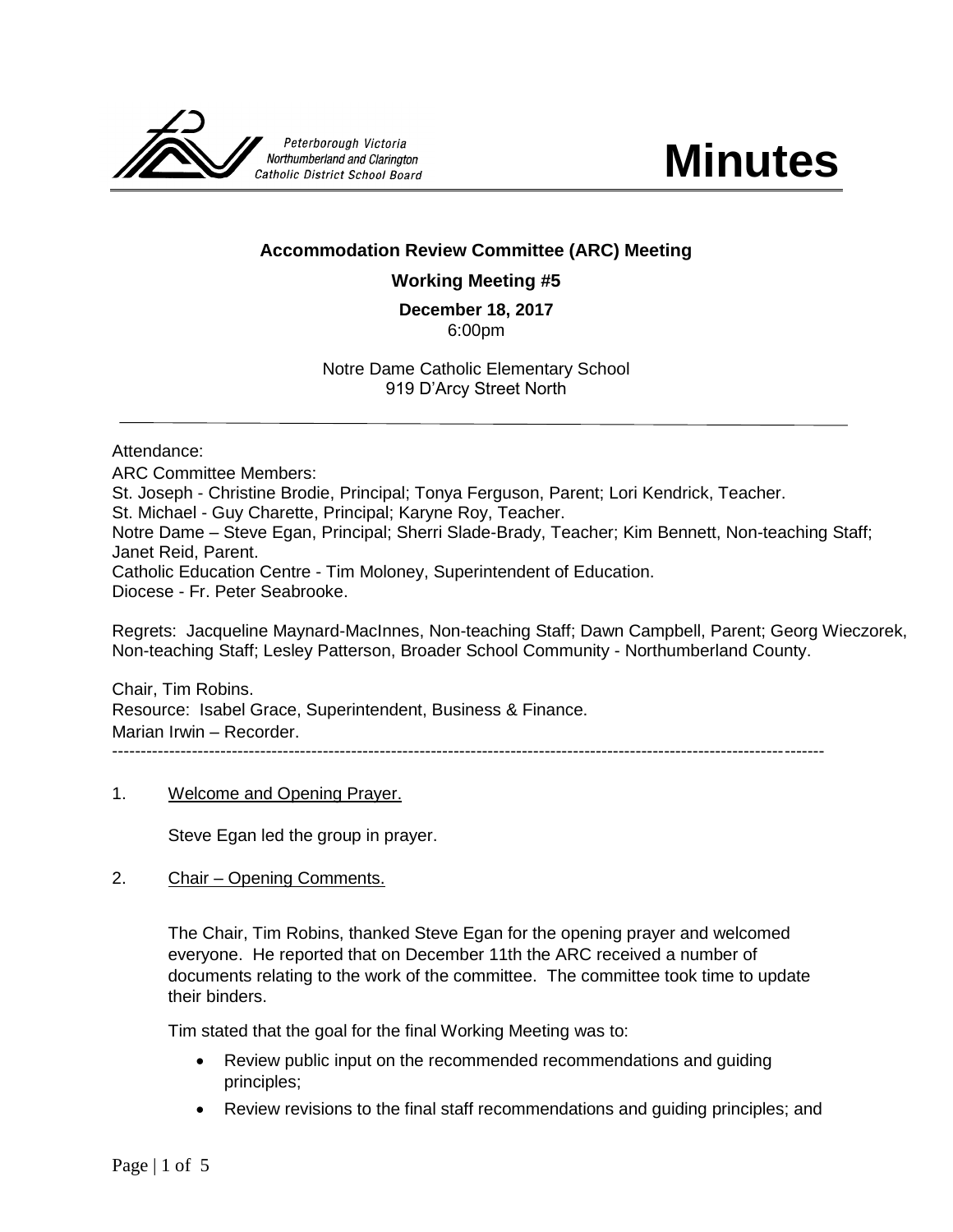



# **Accommodation Review Committee (ARC) Meeting**

### **Working Meeting #5**

# **December 18, 2017**

6:00pm

Notre Dame Catholic Elementary School 919 D'Arcy Street North

#### Attendance:

ARC Committee Members: St. Joseph - Christine Brodie, Principal; Tonya Ferguson, Parent; Lori Kendrick, Teacher. St. Michael - Guy Charette, Principal; Karyne Roy, Teacher. Notre Dame – Steve Egan, Principal; Sherri Slade-Brady, Teacher; Kim Bennett, Non-teaching Staff; Janet Reid, Parent. Catholic Education Centre - Tim Moloney, Superintendent of Education. Diocese - Fr. Peter Seabrooke.

Regrets: Jacqueline Maynard-MacInnes, Non-teaching Staff; Dawn Campbell, Parent; Georg Wieczorek, Non-teaching Staff; Lesley Patterson, Broader School Community - Northumberland County.

Chair, Tim Robins. Resource: Isabel Grace, Superintendent, Business & Finance. Marian Irwin – Recorder. -----------------------------------------------------------------------------------------------------------------------------

1. Welcome and Opening Prayer.

Steve Egan led the group in prayer.

2. Chair – Opening Comments.

The Chair, Tim Robins, thanked Steve Egan for the opening prayer and welcomed everyone. He reported that on December 11th the ARC received a number of documents relating to the work of the committee. The committee took time to update their binders.

Tim stated that the goal for the final Working Meeting was to:

- Review public input on the recommended recommendations and guiding principles;
- Review revisions to the final staff recommendations and guiding principles; and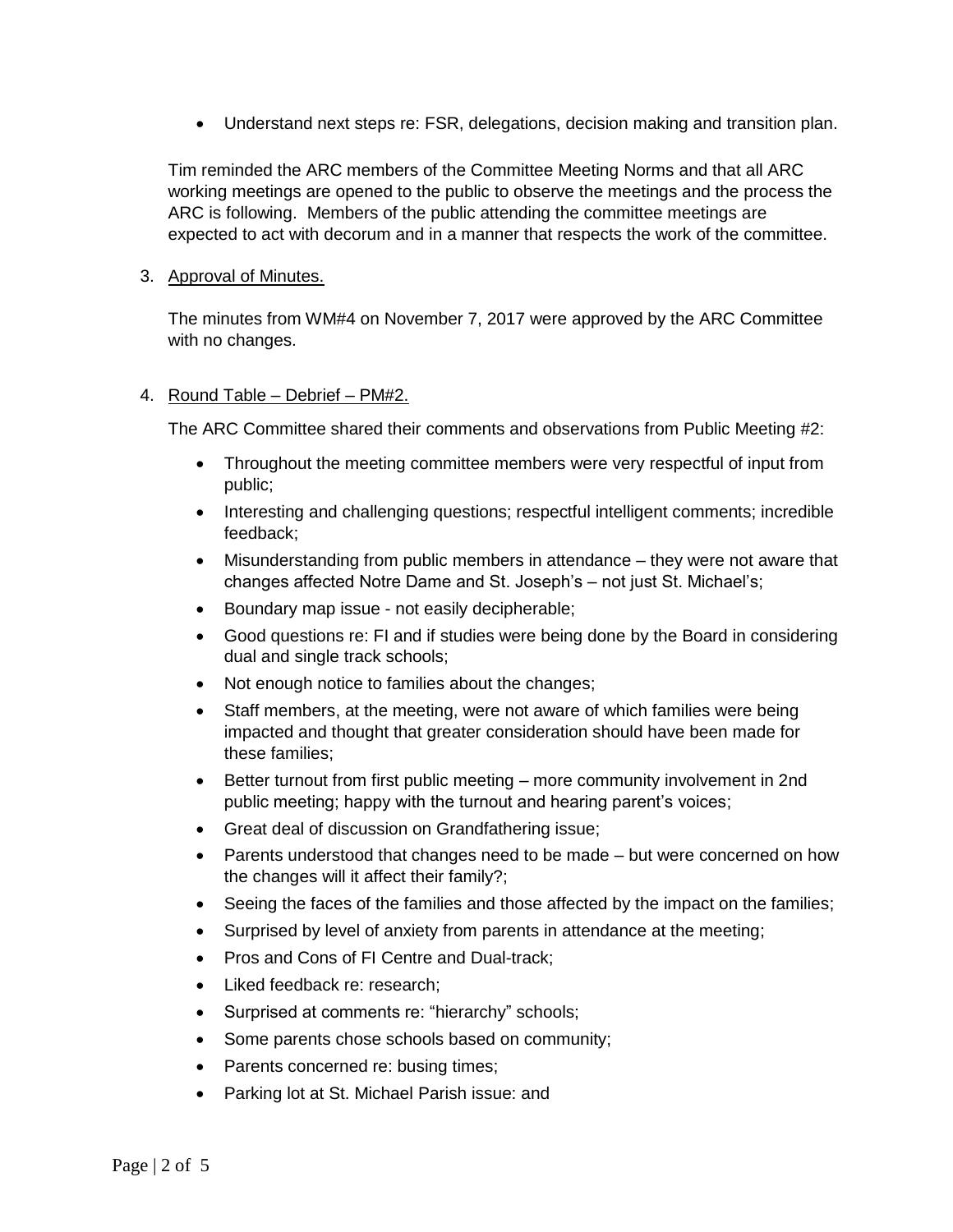Understand next steps re: FSR, delegations, decision making and transition plan.

Tim reminded the ARC members of the Committee Meeting Norms and that all ARC working meetings are opened to the public to observe the meetings and the process the ARC is following. Members of the public attending the committee meetings are expected to act with decorum and in a manner that respects the work of the committee.

### 3. Approval of Minutes.

The minutes from WM#4 on November 7, 2017 were approved by the ARC Committee with no changes.

#### 4. Round Table – Debrief – PM#2.

The ARC Committee shared their comments and observations from Public Meeting #2:

- Throughout the meeting committee members were very respectful of input from public;
- Interesting and challenging questions; respectful intelligent comments; incredible feedback;
- Misunderstanding from public members in attendance they were not aware that changes affected Notre Dame and St. Joseph's – not just St. Michael's;
- Boundary map issue not easily decipherable;
- Good questions re: FI and if studies were being done by the Board in considering dual and single track schools;
- Not enough notice to families about the changes;
- Staff members, at the meeting, were not aware of which families were being impacted and thought that greater consideration should have been made for these families;
- Better turnout from first public meeting more community involvement in 2nd public meeting; happy with the turnout and hearing parent's voices;
- Great deal of discussion on Grandfathering issue;
- Parents understood that changes need to be made but were concerned on how the changes will it affect their family?;
- Seeing the faces of the families and those affected by the impact on the families;
- Surprised by level of anxiety from parents in attendance at the meeting;
- Pros and Cons of FI Centre and Dual-track;
- Liked feedback re: research;
- Surprised at comments re: "hierarchy" schools;
- Some parents chose schools based on community;
- Parents concerned re: busing times;
- Parking lot at St. Michael Parish issue: and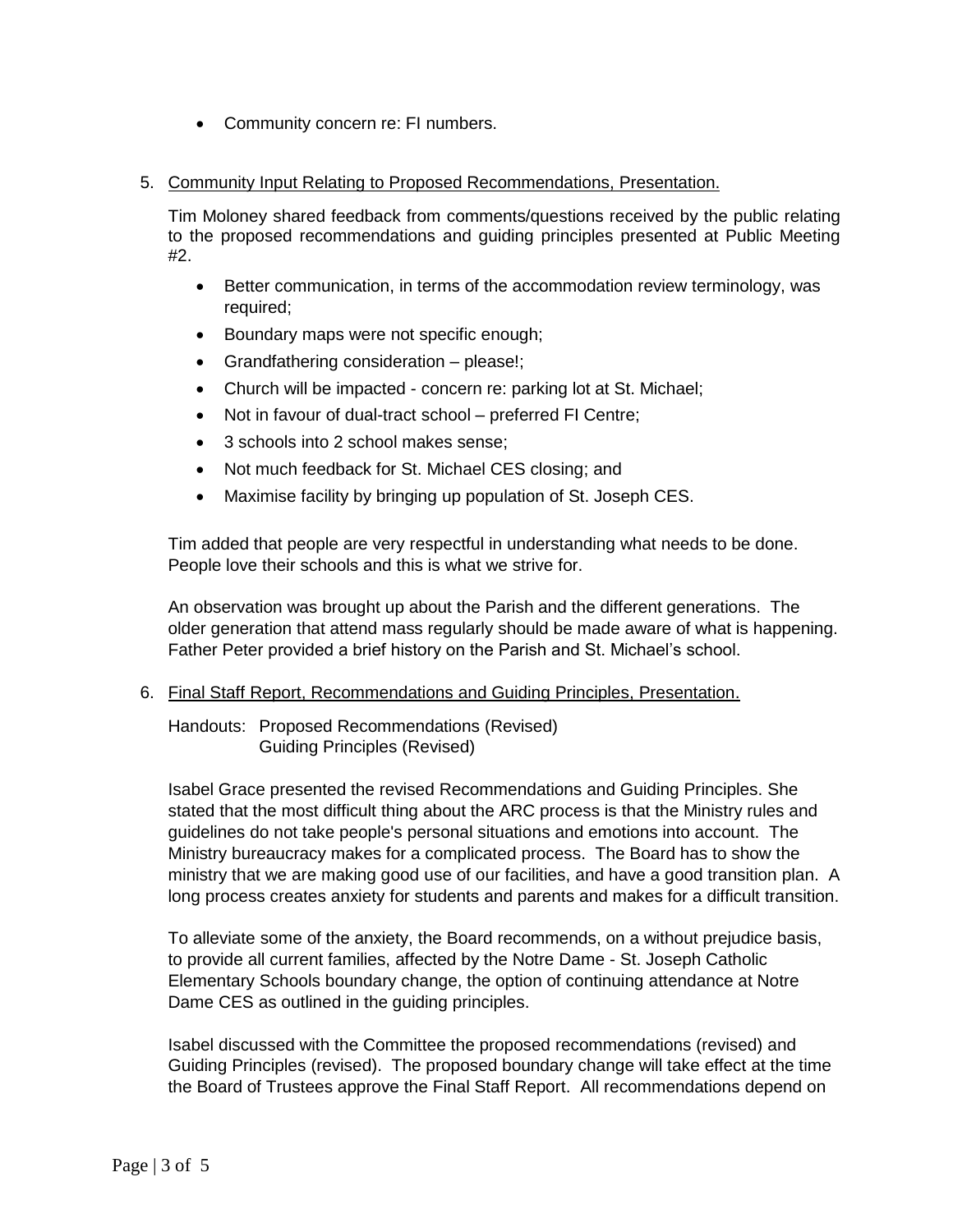- Community concern re: FI numbers.
- 5. Community Input Relating to Proposed Recommendations, Presentation.

Tim Moloney shared feedback from comments/questions received by the public relating to the proposed recommendations and guiding principles presented at Public Meeting #2.

- Better communication, in terms of the accommodation review terminology, was required;
- Boundary maps were not specific enough;
- Grandfathering consideration please!;
- Church will be impacted concern re: parking lot at St. Michael;
- Not in favour of dual-tract school preferred FI Centre;
- 3 schools into 2 school makes sense;
- Not much feedback for St. Michael CES closing; and
- Maximise facility by bringing up population of St. Joseph CES.

Tim added that people are very respectful in understanding what needs to be done. People love their schools and this is what we strive for.

An observation was brought up about the Parish and the different generations. The older generation that attend mass regularly should be made aware of what is happening. Father Peter provided a brief history on the Parish and St. Michael's school.

6. Final Staff Report, Recommendations and Guiding Principles, Presentation.

Handouts: [Proposed Recommendations](http://www.pvnccdsb.on.ca/en/resources/CobourgARC-FinalRevisedRecommendations20171215IG-TRversion-Final.pdf) (Revised) [Guiding Principles](http://www.pvnccdsb.on.ca/en/resources/CobourgARC-GuidingPrinciples20171215Final.pdf) (Revised)

Isabel Grace presented the revised Recommendations and Guiding Principles. She stated that the most difficult thing about the ARC process is that the Ministry rules and guidelines do not take people's personal situations and emotions into account. The Ministry bureaucracy makes for a complicated process. The Board has to show the ministry that we are making good use of our facilities, and have a good transition plan. A long process creates anxiety for students and parents and makes for a difficult transition.

To alleviate some of the anxiety, the Board recommends, on a without prejudice basis, to provide all current families, affected by the Notre Dame - St. Joseph Catholic Elementary Schools boundary change, the option of continuing attendance at Notre Dame CES as outlined in the guiding principles.

Isabel discussed with the Committee the proposed recommendations (revised) and Guiding Principles (revised). The proposed boundary change will take effect at the time the Board of Trustees approve the Final Staff Report. All recommendations depend on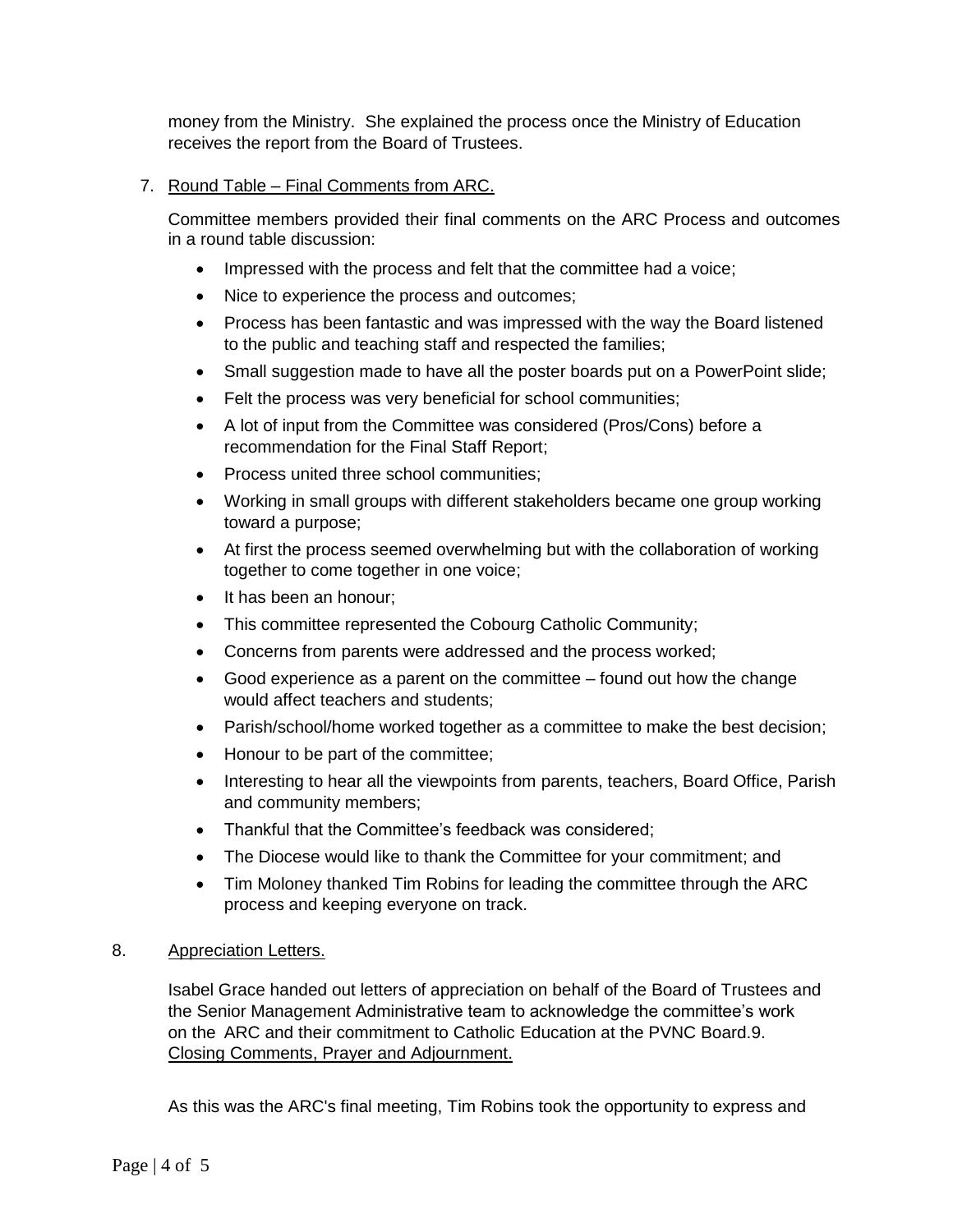money from the Ministry. She explained the process once the Ministry of Education receives the report from the Board of Trustees.

# 7. Round Table – Final Comments from ARC.

Committee members provided their final comments on the ARC Process and outcomes in a round table discussion:

- Impressed with the process and felt that the committee had a voice;
- Nice to experience the process and outcomes;
- Process has been fantastic and was impressed with the way the Board listened to the public and teaching staff and respected the families;
- Small suggestion made to have all the poster boards put on a PowerPoint slide;
- Felt the process was very beneficial for school communities;
- A lot of input from the Committee was considered (Pros/Cons) before a recommendation for the Final Staff Report;
- Process united three school communities;
- Working in small groups with different stakeholders became one group working toward a purpose;
- At first the process seemed overwhelming but with the collaboration of working together to come together in one voice;
- It has been an honour;
- This committee represented the Cobourg Catholic Community;
- Concerns from parents were addressed and the process worked;
- Good experience as a parent on the committee found out how the change would affect teachers and students;
- Parish/school/home worked together as a committee to make the best decision;
- Honour to be part of the committee;
- Interesting to hear all the viewpoints from parents, teachers, Board Office, Parish and community members;
- Thankful that the Committee's feedback was considered;
- The Diocese would like to thank the Committee for your commitment; and
- Tim Moloney thanked Tim Robins for leading the committee through the ARC process and keeping everyone on track.

### 8. Appreciation Letters.

Isabel Grace handed out letters of appreciation on behalf of the Board of Trustees and the Senior Management Administrative team to acknowledge the committee's work on the ARC and their commitment to Catholic Education at the PVNC Board.9. Closing Comments, Prayer and Adjournment.

As this was the ARC's final meeting, Tim Robins took the opportunity to express and